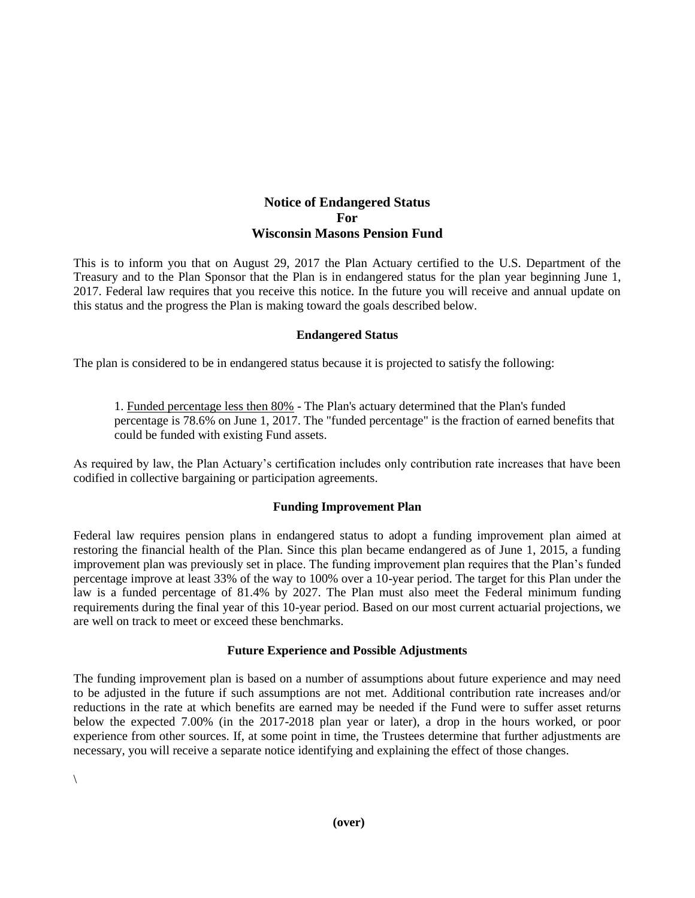# **Notice of Endangered Status For Wisconsin Masons Pension Fund**

This is to inform you that on August 29, 2017 the Plan Actuary certified to the U.S. Department of the Treasury and to the Plan Sponsor that the Plan is in endangered status for the plan year beginning June 1, 2017. Federal law requires that you receive this notice. In the future you will receive and annual update on this status and the progress the Plan is making toward the goals described below.

### **Endangered Status**

The plan is considered to be in endangered status because it is projected to satisfy the following:

1. Funded percentage less then 80% - The Plan's actuary determined that the Plan's funded percentage is 78.6% on June 1, 2017. The "funded percentage" is the fraction of earned benefits that could be funded with existing Fund assets.

As required by law, the Plan Actuary's certification includes only contribution rate increases that have been codified in collective bargaining or participation agreements.

## **Funding Improvement Plan**

Federal law requires pension plans in endangered status to adopt a funding improvement plan aimed at restoring the financial health of the Plan. Since this plan became endangered as of June 1, 2015, a funding improvement plan was previously set in place. The funding improvement plan requires that the Plan's funded percentage improve at least 33% of the way to 100% over a 10-year period. The target for this Plan under the law is a funded percentage of 81.4% by 2027. The Plan must also meet the Federal minimum funding requirements during the final year of this 10-year period. Based on our most current actuarial projections, we are well on track to meet or exceed these benchmarks.

#### **Future Experience and Possible Adjustments**

The funding improvement plan is based on a number of assumptions about future experience and may need to be adjusted in the future if such assumptions are not met. Additional contribution rate increases and/or reductions in the rate at which benefits are earned may be needed if the Fund were to suffer asset returns below the expected 7.00% (in the 2017-2018 plan year or later), a drop in the hours worked, or poor experience from other sources. If, at some point in time, the Trustees determine that further adjustments are necessary, you will receive a separate notice identifying and explaining the effect of those changes.